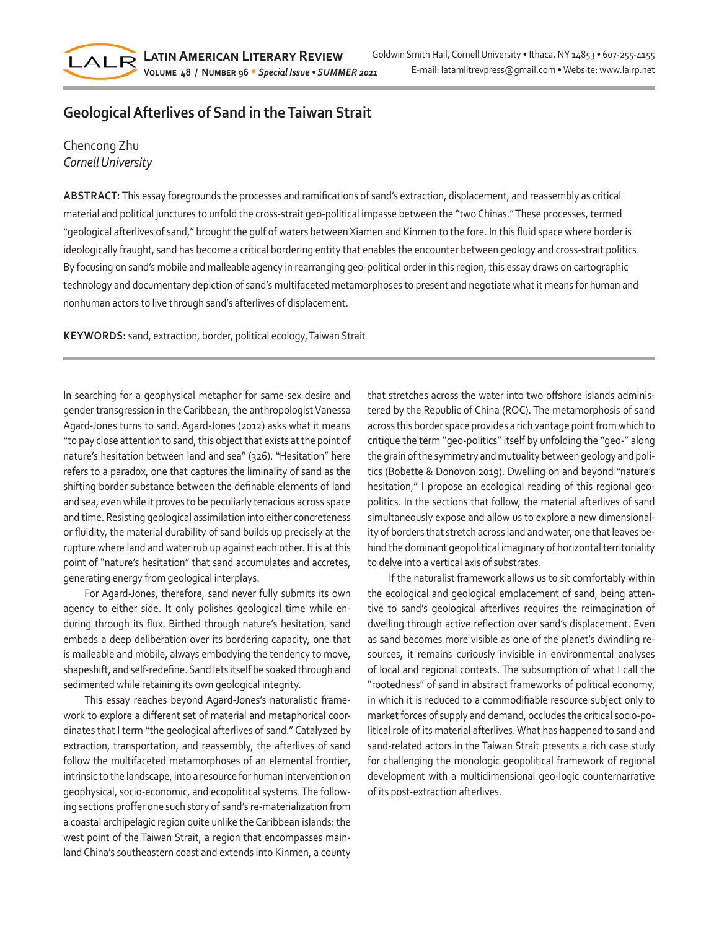# **Geological Afterlives of Sand in the Taiwan Strait**

# Chencong Zhu *Cornell University*

LALR

**ABSTRACT:** This essay foregrounds the processes and ramifications of sand's extraction, displacement, and reassembly as critical material and political junctures to unfold the cross-strait geo-political impasse between the "two Chinas." These processes, termed "geological afterlives of sand," brought the gulf of waters between Xiamen and Kinmen to the fore. In this fluid space where border is ideologically fraught, sand has become a critical bordering entity that enables the encounter between geology and cross-strait politics. By focusing on sand's mobile and malleable agency in rearranging geo-political order in this region, this essay draws on cartographic technology and documentary depiction of sand's multifaceted metamorphoses to present and negotiate what it means for human and nonhuman actors to live through sand's afterlives of displacement.

**KEYWORDS:** sand, extraction, border, political ecology, Taiwan Strait

In searching for a geophysical metaphor for same-sex desire and gender transgression in the Caribbean, the anthropologist Vanessa Agard-Jones turns to sand. Agard-Jones (2012) asks what it means "to pay close attention to sand, this object that exists at the point of nature's hesitation between land and sea" (326). "Hesitation" here refers to a paradox, one that captures the liminality of sand as the shifting border substance between the definable elements of land and sea, even while it proves to be peculiarly tenacious across space and time. Resisting geological assimilation into either concreteness or fluidity, the material durability of sand builds up precisely at the rupture where land and water rub up against each other. It is at this point of "nature's hesitation" that sand accumulates and accretes, generating energy from geological interplays.

For Agard-Jones, therefore, sand never fully submits its own agency to either side. It only polishes geological time while enduring through its flux. Birthed through nature's hesitation, sand embeds a deep deliberation over its bordering capacity, one that is malleable and mobile, always embodying the tendency to move, shapeshift, and self-redefine. Sand lets itself be soaked through and sedimented while retaining its own geological integrity.

This essay reaches beyond Agard-Jones's naturalistic framework to explore a different set of material and metaphorical coordinates that I term "the geological afterlives of sand." Catalyzed by extraction, transportation, and reassembly, the afterlives of sand follow the multifaceted metamorphoses of an elemental frontier, intrinsic to the landscape, into a resource for human intervention on geophysical, socio-economic, and ecopolitical systems. The following sections proffer one such story of sand's re-materialization from a coastal archipelagic region quite unlike the Caribbean islands: the west point of the Taiwan Strait, a region that encompasses mainland China's southeastern coast and extends into Kinmen, a county

that stretches across the water into two offshore islands administered by the Republic of China (ROC). The metamorphosis of sand across this border space provides a rich vantage point from which to critique the term "geo-politics" itself by unfolding the "geo-" along the grain of the symmetry and mutuality between geology and politics (Bobette & Donovon 2019). Dwelling on and beyond "nature's hesitation," I propose an ecological reading of this regional geopolitics. In the sections that follow, the material afterlives of sand simultaneously expose and allow us to explore a new dimensionality of borders that stretch across land and water, one that leaves behind the dominant geopolitical imaginary of horizontal territoriality to delve into a vertical axis of substrates.

If the naturalist framework allows us to sit comfortably within the ecological and geological emplacement of sand, being attentive to sand's geological afterlives requires the reimagination of dwelling through active reflection over sand's displacement. Even as sand becomes more visible as one of the planet's dwindling resources, it remains curiously invisible in environmental analyses of local and regional contexts. The subsumption of what I call the "rootedness" of sand in abstract frameworks of political economy, in which it is reduced to a commodifiable resource subject only to market forces of supply and demand, occludes the critical socio-political role of its material afterlives. What has happened to sand and sand-related actors in the Taiwan Strait presents a rich case study for challenging the monologic geopolitical framework of regional development with a multidimensional geo-logic counternarrative of its post-extraction afterlives.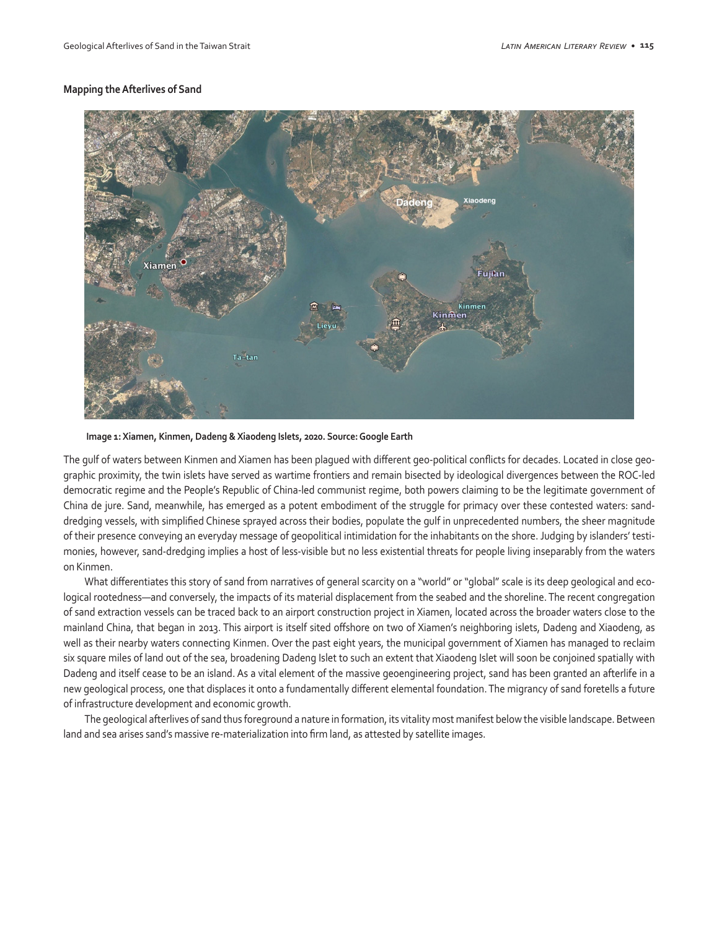### **Mapping the Afterlives of Sand**



 **Image 1: Xiamen, Kinmen, Dadeng & Xiaodeng Islets, 2020. Source: Google Earth**

The gulf of waters between Kinmen and Xiamen has been plagued with different geo-political conflicts for decades. Located in close geographic proximity, the twin islets have served as wartime frontiers and remain bisected by ideological divergences between the ROC-led democratic regime and the People's Republic of China-led communist regime, both powers claiming to be the legitimate government of China de jure. Sand, meanwhile, has emerged as a potent embodiment of the struggle for primacy over these contested waters: sanddredging vessels, with simplified Chinese sprayed across their bodies, populate the gulf in unprecedented numbers, the sheer magnitude of their presence conveying an everyday message of geopolitical intimidation for the inhabitants on the shore. Judging by islanders' testimonies, however, sand-dredging implies a host of less-visible but no less existential threats for people living inseparably from the waters on Kinmen.

What differentiates this story of sand from narratives of general scarcity on a "world" or "global" scale is its deep geological and ecological rootedness—and conversely, the impacts of its material displacement from the seabed and the shoreline. The recent congregation of sand extraction vessels can be traced back to an airport construction project in Xiamen, located across the broader waters close to the mainland China, that began in 2013. This airport is itself sited offshore on two of Xiamen's neighboring islets, Dadeng and Xiaodeng, as well as their nearby waters connecting Kinmen. Over the past eight years, the municipal government of Xiamen has managed to reclaim six square miles of land out of the sea, broadening Dadeng Islet to such an extent that Xiaodeng Islet will soon be conjoined spatially with Dadeng and itself cease to be an island. As a vital element of the massive geoengineering project, sand has been granted an afterlife in a new geological process, one that displaces it onto a fundamentally different elemental foundation. The migrancy of sand foretells a future of infrastructure development and economic growth.

The geological afterlives of sand thus foreground a nature in formation, its vitality most manifest below the visible landscape. Between land and sea arises sand's massive re-materialization into firm land, as attested by satellite images.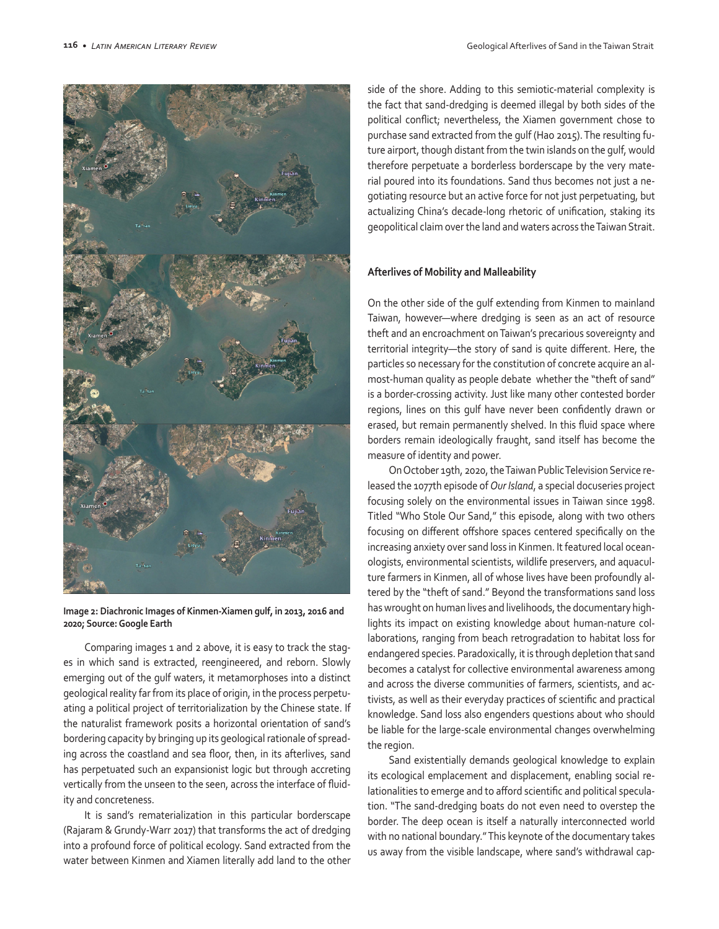

**Image 2: Diachronic Images of Kinmen-Xiamen gulf, in 2013, 2016 and 2020; Source: Google Earth**

Comparing images 1 and 2 above, it is easy to track the stages in which sand is extracted, reengineered, and reborn. Slowly emerging out of the gulf waters, it metamorphoses into a distinct geological reality far from its place of origin, in the process perpetuating a political project of territorialization by the Chinese state. If the naturalist framework posits a horizontal orientation of sand's bordering capacity by bringing up its geological rationale of spreading across the coastland and sea floor, then, in its afterlives, sand has perpetuated such an expansionist logic but through accreting vertically from the unseen to the seen, across the interface of fluidity and concreteness.

It is sand's rematerialization in this particular borderscape (Rajaram & Grundy-Warr 2017) that transforms the act of dredging into a profound force of political ecology. Sand extracted from the water between Kinmen and Xiamen literally add land to the other

side of the shore. Adding to this semiotic-material complexity is the fact that sand-dredging is deemed illegal by both sides of the political conflict; nevertheless, the Xiamen government chose to purchase sand extracted from the gulf (Hao 2015). The resulting future airport, though distant from the twin islands on the gulf, would therefore perpetuate a borderless borderscape by the very material poured into its foundations. Sand thus becomes not just a negotiating resource but an active force for not just perpetuating, but actualizing China's decade-long rhetoric of unification, staking its geopolitical claim over the land and waters across the Taiwan Strait.

#### **Afterlives of Mobility and Malleability**

On the other side of the gulf extending from Kinmen to mainland Taiwan, however—where dredging is seen as an act of resource theft and an encroachment on Taiwan's precarious sovereignty and territorial integrity—the story of sand is quite different. Here, the particles so necessary for the constitution of concrete acquire an almost-human quality as people debate whether the "theft of sand" is a border-crossing activity. Just like many other contested border regions, lines on this gulf have never been confidently drawn or erased, but remain permanently shelved. In this fluid space where borders remain ideologically fraught, sand itself has become the measure of identity and power.

On October 19th, 2020, the Taiwan Public Television Service released the 1077th episode of *Our Island*, a special docuseries project focusing solely on the environmental issues in Taiwan since 1998. Titled "Who Stole Our Sand," this episode, along with two others focusing on different offshore spaces centered specifically on the increasing anxiety over sand loss in Kinmen. It featured local oceanologists, environmental scientists, wildlife preservers, and aquaculture farmers in Kinmen, all of whose lives have been profoundly altered by the "theft of sand." Beyond the transformations sand loss has wrought on human lives and livelihoods, the documentary highlights its impact on existing knowledge about human-nature collaborations, ranging from beach retrogradation to habitat loss for endangered species. Paradoxically, it is through depletion that sand becomes a catalyst for collective environmental awareness among and across the diverse communities of farmers, scientists, and activists, as well as their everyday practices of scientific and practical knowledge. Sand loss also engenders questions about who should be liable for the large-scale environmental changes overwhelming the region.

Sand existentially demands geological knowledge to explain its ecological emplacement and displacement, enabling social relationalities to emerge and to afford scientific and political speculation. "The sand-dredging boats do not even need to overstep the border. The deep ocean is itself a naturally interconnected world with no national boundary." This keynote of the documentary takes us away from the visible landscape, where sand's withdrawal cap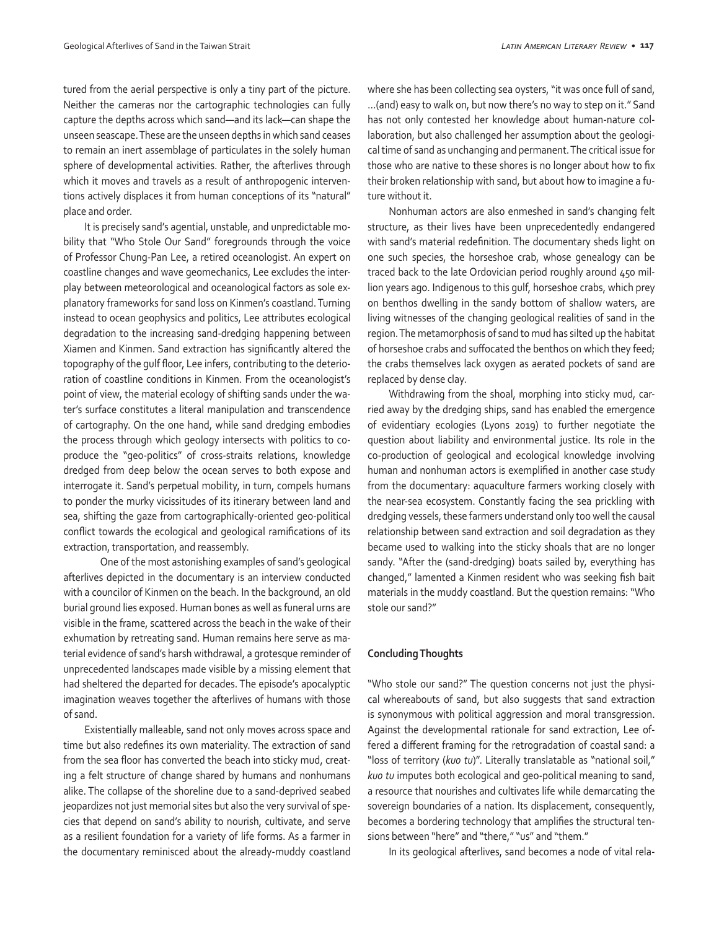tured from the aerial perspective is only a tiny part of the picture. Neither the cameras nor the cartographic technologies can fully capture the depths across which sand—and its lack—can shape the unseen seascape. These are the unseen depths in which sand ceases to remain an inert assemblage of particulates in the solely human sphere of developmental activities. Rather, the afterlives through which it moves and travels as a result of anthropogenic interventions actively displaces it from human conceptions of its "natural" place and order.

It is precisely sand's agential, unstable, and unpredictable mobility that "Who Stole Our Sand" foregrounds through the voice of Professor Chung-Pan Lee, a retired oceanologist. An expert on coastline changes and wave geomechanics, Lee excludes the interplay between meteorological and oceanological factors as sole explanatory frameworks for sand loss on Kinmen's coastland. Turning instead to ocean geophysics and politics, Lee attributes ecological degradation to the increasing sand-dredging happening between Xiamen and Kinmen. Sand extraction has significantly altered the topography of the gulf floor, Lee infers, contributing to the deterioration of coastline conditions in Kinmen. From the oceanologist's point of view, the material ecology of shifting sands under the water's surface constitutes a literal manipulation and transcendence of cartography. On the one hand, while sand dredging embodies the process through which geology intersects with politics to coproduce the "geo-politics" of cross-straits relations, knowledge dredged from deep below the ocean serves to both expose and interrogate it. Sand's perpetual mobility, in turn, compels humans to ponder the murky vicissitudes of its itinerary between land and sea, shifting the gaze from cartographically-oriented geo-political conflict towards the ecological and geological ramifications of its extraction, transportation, and reassembly.

 One of the most astonishing examples of sand's geological afterlives depicted in the documentary is an interview conducted with a councilor of Kinmen on the beach. In the background, an old burial ground lies exposed. Human bones as well as funeral urns are visible in the frame, scattered across the beach in the wake of their exhumation by retreating sand. Human remains here serve as material evidence of sand's harsh withdrawal, a grotesque reminder of unprecedented landscapes made visible by a missing element that had sheltered the departed for decades. The episode's apocalyptic imagination weaves together the afterlives of humans with those of sand.

Existentially malleable, sand not only moves across space and time but also redefines its own materiality. The extraction of sand from the sea floor has converted the beach into sticky mud, creating a felt structure of change shared by humans and nonhumans alike. The collapse of the shoreline due to a sand-deprived seabed jeopardizes not just memorial sites but also the very survival of species that depend on sand's ability to nourish, cultivate, and serve as a resilient foundation for a variety of life forms. As a farmer in the documentary reminisced about the already-muddy coastland where she has been collecting sea oysters, "it was once full of sand, …(and) easy to walk on, but now there's no way to step on it." Sand has not only contested her knowledge about human-nature collaboration, but also challenged her assumption about the geological time of sand as unchanging and permanent. The critical issue for those who are native to these shores is no longer about how to fix their broken relationship with sand, but about how to imagine a future without it.

Nonhuman actors are also enmeshed in sand's changing felt structure, as their lives have been unprecedentedly endangered with sand's material redefinition. The documentary sheds light on one such species, the horseshoe crab, whose genealogy can be traced back to the late Ordovician period roughly around 450 million years ago. Indigenous to this gulf, horseshoe crabs, which prey on benthos dwelling in the sandy bottom of shallow waters, are living witnesses of the changing geological realities of sand in the region. The metamorphosis of sand to mud has silted up the habitat of horseshoe crabs and suffocated the benthos on which they feed; the crabs themselves lack oxygen as aerated pockets of sand are replaced by dense clay.

Withdrawing from the shoal, morphing into sticky mud, carried away by the dredging ships, sand has enabled the emergence of evidentiary ecologies (Lyons 2019) to further negotiate the question about liability and environmental justice. Its role in the co-production of geological and ecological knowledge involving human and nonhuman actors is exemplified in another case study from the documentary: aquaculture farmers working closely with the near-sea ecosystem. Constantly facing the sea prickling with dredging vessels, these farmers understand only too well the causal relationship between sand extraction and soil degradation as they became used to walking into the sticky shoals that are no longer sandy. "After the (sand-dredging) boats sailed by, everything has changed," lamented a Kinmen resident who was seeking fish bait materials in the muddy coastland. But the question remains: "Who stole our sand?"

#### **Concluding Thoughts**

"Who stole our sand?" The question concerns not just the physical whereabouts of sand, but also suggests that sand extraction is synonymous with political aggression and moral transgression. Against the developmental rationale for sand extraction, Lee offered a different framing for the retrogradation of coastal sand: a "loss of territory (*kuo tu*)". Literally translatable as "national soil," *kuo tu* imputes both ecological and geo-political meaning to sand, a resource that nourishes and cultivates life while demarcating the sovereign boundaries of a nation. Its displacement, consequently, becomes a bordering technology that amplifies the structural tensions between "here" and "there," "us" and "them."

In its geological afterlives, sand becomes a node of vital rela-